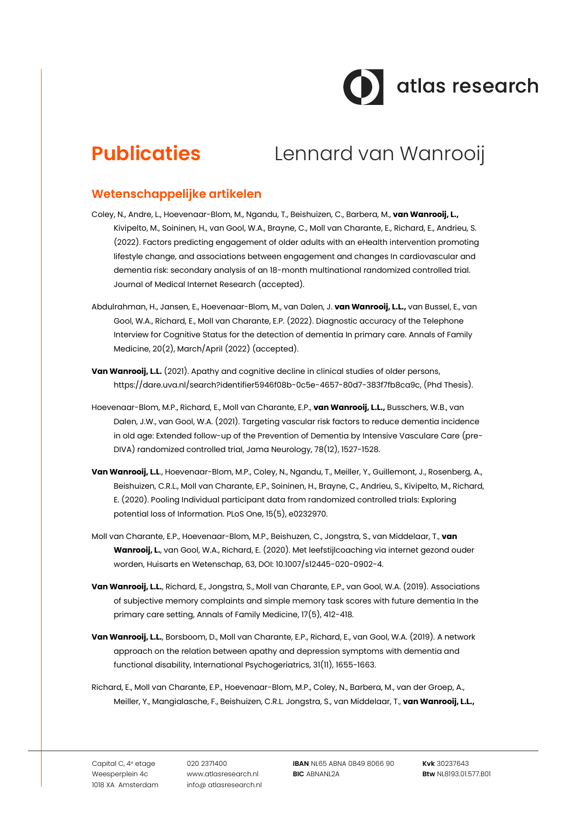# dtlas research

## **Publicaties** Lennard van Wanrooij

#### **Wetenschappelijke artikelen**

- Coley, N., Andre, L., Hoevenaar-Blom, M., Ngandu, T., Beishuizen, C., Barbera, M., **van Wanrooij, L.,** Kivipelto, M., Soininen, H., van Gool, W.A., Brayne, C., Moll van Charante, E., Richard, E., Andrieu, S. (2022). Factors predicting engagement of older adults with an eHealth intervention promoting lifestyle change, and associations between engagement and changes In cardiovascular and dementia risk: secondary analysis of an 18-month multinational randomized controlled trial. Journal of Medical Internet Research (accepted).
- Abdulrahman, H., Jansen, E., Hoevenaar-Blom, M., van Dalen, J. **van Wanrooij, L.L.,** van Bussel, E., van Gool, W.A., Richard, E., Moll van Charante, E.P. (2022). Diagnostic accuracy of the Telephone Interview for Cognitive Status for the detection of dementia In primary care. Annals of Family Medicine, 20(2), March/April (2022) (accepted).
- **Van Wanrooii, L.L.** (2021). Apathy and cognitive decline in clinical studies of older persons, [https://dare.uva.nl/search?identifier5946f08b-0c5e-4657-80d7-383f7fb8ca9c,](https://dare.uva.nl/search?identifier5946f08b-0c5e-4657-80d7-383f7fb8ca9c) (Phd Thesis).
- Hoevenaar-Blom, M.P., Richard, E., Moll van Charante, E.P., **van Wanrooij, L.L.,** Busschers, W.B., van Dalen, J.W., van Gool, W.A. (2021). Targeting vascular risk factors to reduce dementia incidence in old age: Extended follow-up of the Prevention of Dementia by Intensive Vasculare Care (pre-DIVA) randomized controlled trial, Jama Neurology, 78(12), 1527-1528.
- **Van Wanrooij, L.L**., Hoevenaar-Blom, M.P., Coley, N., Ngandu, T., Meiller, Y., Guillemont, J., Rosenberg, A., Beishuizen, C.R.L., Moll van Charante, E.P., Soininen, H., Brayne, C., Andrieu, S., Kivipelto, M., Richard, E. (2020). Pooling Individual participant data from randomized controlled trials: Exploring potential loss of Information. PLoS One, 15(5), e0232970.
- Moll van Charante, E.P., Hoevenaar-Blom, M.P., Beishuzen, C., Jongstra, S., van Middelaar, T., **van Wanrooij, L.**, van Gool, W.A., Richard, E. (2020). Met leefstijlcoaching via internet gezond ouder worden, Huisarts en Wetenschap, 63, DOI: 10.1007/s12445-020-0902-4.
- **Van Wanrooij, L.L.**, Richard, E., Jongstra, S., Moll van Charante, E.P., van Gool, W.A. (2019). Associations of subjective memory complaints and simple memory task scores with future dementia In the primary care setting, Annals of Family Medicine, 17(5), 412-418.
- **Van Wanrooij, L.L.**, Borsboom, D., Moll van Charante, E.P., Richard, E., van Gool, W.A. (2019). A network approach on the relation between apathy and depression symptoms with dementia and functional disability, International Psychogeriatrics, 31(11), 1655-1663.
- Richard, E., Moll van Charante, E.P., Hoevenaar-Blom, M.P., Coley, N., Barbera, M., van der Groep, A., Meiller, Y., Mangialasche, F., Beishuizen, C.R.L. Jongstra, S., van Middelaar, T., **van Wanrooij, L.L.,**

Capital C, 4<sup>e</sup> etage Weesperplein 4c 1018 XA Amsterdam 020 2371400 www.atlasresearch.nl info@ atlasresearch.nl

**IBAN** NL65 ABNA 0849 8066 90 **BIC** ABNANL2A

**Kvk** 30237643 **Btw** NL8193.01.577.B01